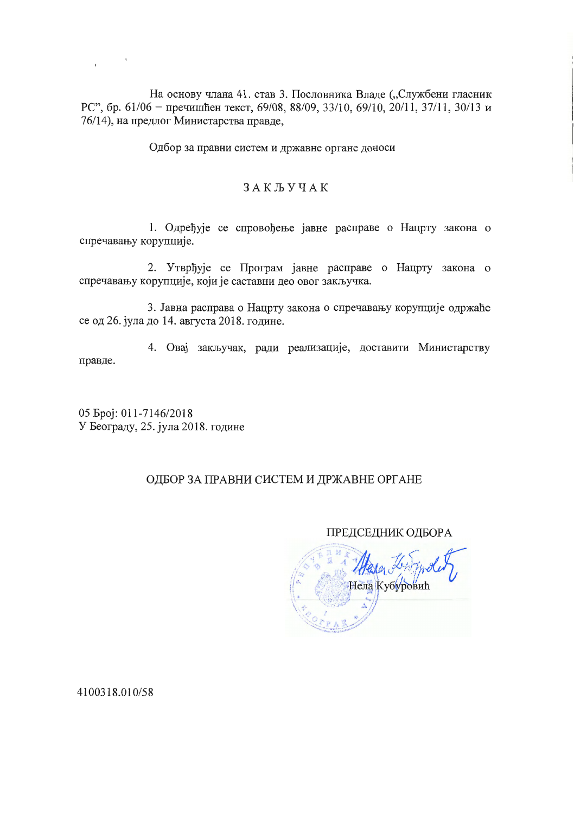На основу члана 41. став 3. Пословника Владе ("Службени гласник РС", бр. 61/06 - пречишћен текст, 69/08, 88/09, 33/10, 69/10, 20/11, 37/11, 30/13 и 76/14), на предлог Министарства правде,

Одбор за правни систем и државне органе доноси

## **ЗАКЉУЧАК**

1. Одређује се спровођење јавне расправе о Нацрту закона о спречавању корупције.

2. Утврђује се Програм јавне расправе о Нацрту закона о спречавању корупције, који је саставни део овог закључка.

3. Јавна расправа о Нацрту закона о спречавању корупције одржаће се од 26. јула до 14. августа 2018. године.

4. Овај закључак, ради реализације, доставити Министарству правде.

05 Spoj: 011-7146/2018 У Београду, 25. јула 2018. године

## ОДБОР ЗА ПРАВНИ СИСТЕМ И ДРЖАВНЕ ОРГАНЕ

## **ПРЕДСЕДНИК ОДБОРА**

Нела Кубуровић

4100318.010/58